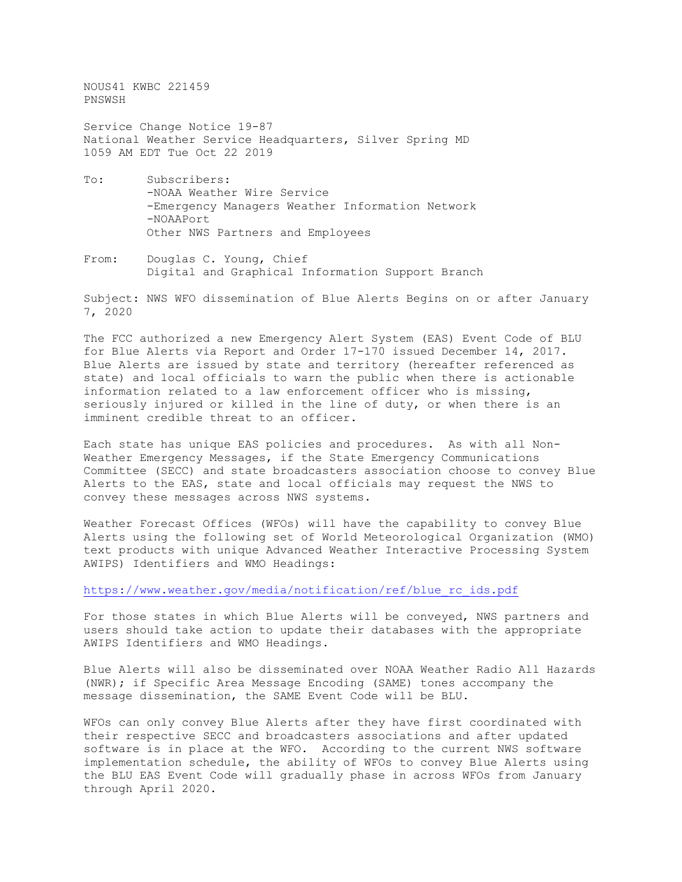NOUS41 KWBC 221459 PNSWSH

Service Change Notice 19-87 National Weather Service Headquarters, Silver Spring MD 1059 AM EDT Tue Oct 22 2019

- To: Subscribers: -NOAA Weather Wire Service -Emergency Managers Weather Information Network -NOAAPort Other NWS Partners and Employees
- From: Douglas C. Young, Chief Digital and Graphical Information Support Branch

Subject: NWS WFO dissemination of Blue Alerts Begins on or after January 7, 2020

The FCC authorized a new Emergency Alert System (EAS) Event Code of BLU for Blue Alerts via Report and Order 17-170 issued December 14, 2017. Blue Alerts are issued by state and territory (hereafter referenced as state) and local officials to warn the public when there is actionable information related to a law enforcement officer who is missing, seriously injured or killed in the line of duty, or when there is an imminent credible threat to an officer.

Each state has unique EAS policies and procedures. As with all Non-Weather Emergency Messages, if the State Emergency Communications Committee (SECC) and state broadcasters association choose to convey Blue Alerts to the EAS, state and local officials may request the NWS to convey these messages across NWS systems.

Weather Forecast Offices (WFOs) will have the capability to convey Blue Alerts using the following set of World Meteorological Organization (WMO) text products with unique Advanced Weather Interactive Processing System AWIPS) Identifiers and WMO Headings:

[https://www.weather.gov/media/notification/ref/blue\\_rc\\_ids.pdf](https://www.weather.gov/media/notification/ref/blue_rc_ids.pdf)

For those states in which Blue Alerts will be conveyed, NWS partners and users should take action to update their databases with the appropriate AWIPS Identifiers and WMO Headings.

Blue Alerts will also be disseminated over NOAA Weather Radio All Hazards (NWR); if Specific Area Message Encoding (SAME) tones accompany the message dissemination, the SAME Event Code will be BLU.

WFOs can only convey Blue Alerts after they have first coordinated with their respective SECC and broadcasters associations and after updated software is in place at the WFO. According to the current NWS software implementation schedule, the ability of WFOs to convey Blue Alerts using the BLU EAS Event Code will gradually phase in across WFOs from January through April 2020.